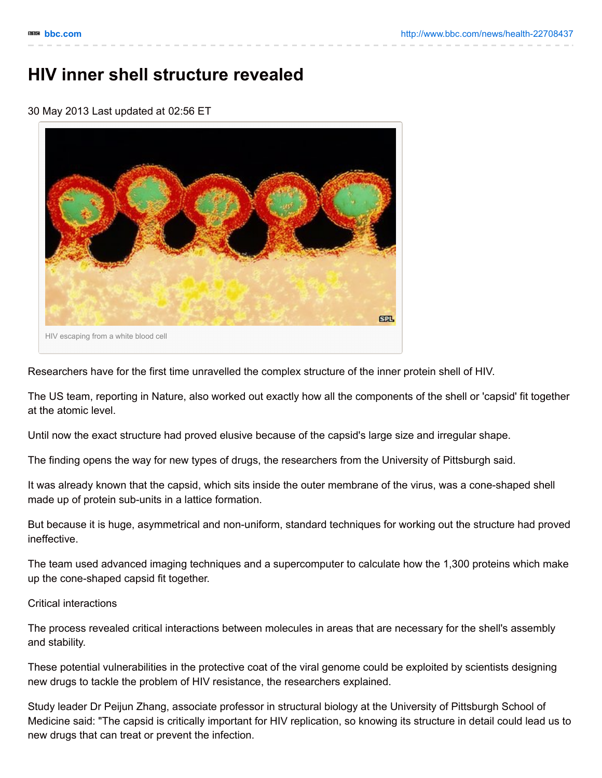## **HIV inner shell structure revealed**

30 May 2013 Last updated at 02:56 ET



Researchers have for the first time unravelled the complex structure of the inner protein shell of HIV.

The US team, reporting in Nature, also worked out exactly how all the components of the shell or 'capsid' fit together at the atomic level.

Until now the exact structure had proved elusive because of the capsid's large size and irregular shape.

The finding opens the way for new types of drugs, the researchers from the University of Pittsburgh said.

It was already known that the capsid, which sits inside the outer membrane of the virus, was a cone-shaped shell made up of protein sub-units in a lattice formation.

But because it is huge, asymmetrical and non-uniform, standard techniques for working out the structure had proved ineffective.

The team used advanced imaging techniques and a supercomputer to calculate how the 1,300 proteins which make up the cone-shaped capsid fit together.

## Critical interactions

The process revealed critical interactions between molecules in areas that are necessary for the shell's assembly and stability.

These potential vulnerabilities in the protective coat of the viral genome could be exploited by scientists designing new drugs to tackle the problem of HIV resistance, the researchers explained.

Study leader Dr Peijun Zhang, associate professor in structural biology at the University of Pittsburgh School of Medicine said: "The capsid is critically important for HIV replication, so knowing its structure in detail could lead us to new drugs that can treat or prevent the infection.